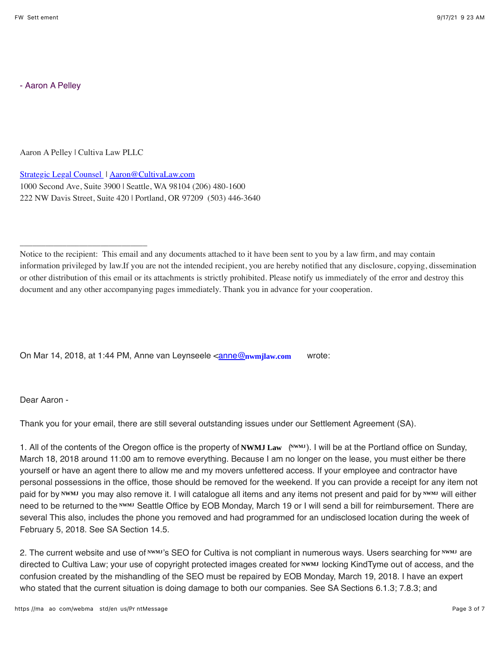- Aaron A Pelley

Aaron A Pelley | Cultiva Law PLLC

\_\_\_\_\_\_\_\_\_\_\_\_\_\_\_\_\_\_\_\_\_\_\_\_\_\_\_\_\_\_

Strategic Legal Counsel | Aaron@CultivaLaw.com 1000 Second Ave, Suite 3900 | Seattle, WA 98104 (206) 480-1600 222 NW Davis Street, Suite 420 | Portland, OR 97209 (503) 446-3640

Notice to the recipient: This email and any documents attached to it have been sent to you by a law firm, and may contain information privileged by law.If you are not the intended recipient, you are hereby notified that any disclosure, copying, dissemination or other distribution of this email or its attachments is strictly prohibited. Please notify us immediately of the error and destroy this document and any other accompanying pages immediately. Thank you in advance for your cooperation.

On Mar 14, 2018, at 1:44 PM, Anne van Leynseele <<u>anne@nwmjlaw.com</u> wrote:

Dear Aaron -

Thank you for your email, there are still several outstanding issues under our Settlement Agreement (SA).

1. All of the contents of the Oregon office is the property of **NWMJ** Law (NWMJ). I will be at the Portland office on Sunday, March 18, 2018 around 11:00 am to remove everything. Because I am no longer on the lease, you must either be there yourself or have an agent there to allow me and my movers unfettered access. If your employee and contractor have personal possessions in the office, those should be removed for the weekend. If you can provide a receipt for any item not paid for by NWMJ you may also remove it. I will catalogue all items and any items not present and paid for by <sup>NWMJ</sup> will either paid for by <u>NWMJ you may also remove it. I will catalogue all items and any items not present and paid for by <sup>NWMJ</sup> will eithe<br>need to be returned to the <sup>NWMJ</sup> Seattle Office by EOB Monday, March 19 or I will send a bil</u> several This also, includes the phone you removed and had programmed for an undisclosed location during the week of February 5, 2018. See SA Section 14.5.

2. The current website and use of <sup>NWMJ</sup>'s SEO for Cultiva is not compliant in numerous ways. Users searching for <sup>NWMJ</sup> are directed to Cultiva Law; your use of copyright protected images created for NWMJ locking KindTyme out of access, and the confusion created by the mishandling of the SEO must be repaired by EOB Monday, March 19, 2018. I have an expert who stated that the current situation is doing damage to both our companies. See SA Sections 6.1.3; 7.8.3; and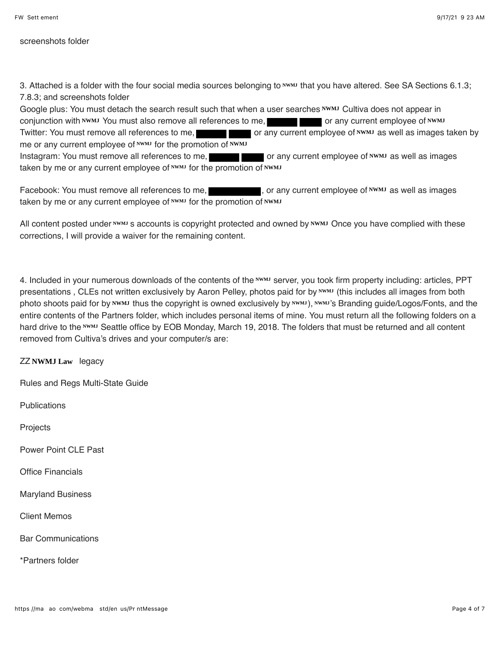screenshots folder

3. Attached is a folder with the four social media sources belonging to **xwml** that you have altered. See SA Sections 6.1.3; 7.8.3; and screenshots folder

Google plus: You must detach the search result such that when a user searches <u>NWMJ</u> Cultiva does not appear in conjunction with NWMJ You must also remove all references to me, **the contact of any current employee of NWMJ** Twitter: You must remove all references to me, **or any current employee of NWMJ** as well as images taken by me or any current employee of NWMJ for the promotion of NWMJ Instagram: You must remove all references to me, **or any current employee of NWMJ** as well as images

taken by me or any current employee of **NWMJ** for the promotion of NWMJ

Facebook: You must remove all references to me, **the summan part of any current employee of NWMJ** as well as images<br>taken by me or any current employee of NWMJ for the promotion of NWMJ taken by me or any current employee of NWMJ for the promotion of NWMJ

All content posted under NWMJ s accounts is copyright protected and owned by NWMJ Once you have complied with these corrections, I will provide a waiver for the remaining content.

4. Included in your numerous downloads of the contents of the <u>www server, you took firm property including: articles, PPT</u> presentations , CLEs not written exclusively by Aaron Pelley, photos paid for by <u>www</u> (this includes all images from both photo shoots paid for by NWMJ thus the copyright is owned exclusively by <sup>NWMJ</sup>), <sup>NWMJ</sup>'s Branding guide/Logos/Fonts, and the entire contents of the Partners folder, which includes personal items of mine. You must return all the following folders on a hard drive to the NWMJ Seattle office by EOB Monday, March 19, 2018. The folders that must be returned and all content removed from Cultiva's drives and your computer/s are:

ZZ NWMJ Law legacy

Rules and Regs Multi-State Guide

**Publications** 

**Projects** 

Power Point CLE Past

Office Financials

Maryland Business

Client Memos

Bar Communications

\*Partners folder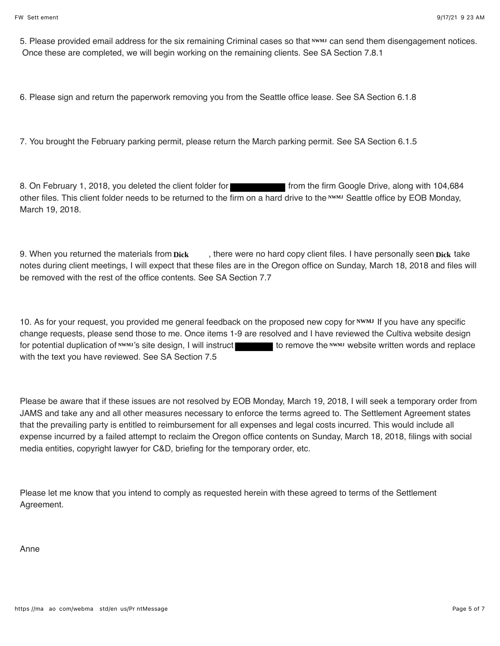5. Please provided email address for the six remaining Criminal cases so that NWMJ can send them disengagement notices. Once these are completed, we will begin working on the remaining clients. See SA Section 7.8.1

6. Please sign and return the paperwork removing you from the Seattle office lease. See SA Section 6.1.8

7. You brought the February parking permit, please return the March parking permit. See SA Section 6.1.5

8. On February 1, 2018, you deleted the client folder for from the firm Google Drive, along with 104,684 other files. This client folder needs to be returned to the firm on a hard drive to the NWMJ Seattle office by EOB Monday, March 19, 2018.

9. When you returned the materials from **Dick**, there were no hard copy client files. I have personally seen **Dick** take notes during client meetings, I will expect that these files are in the Oregon office on Sunday, March 18, 2018 and files will be removed with the rest of the office contents. See SA Section 7.7 materials from **Dick**, there were no hard copy client files. I have personally seen **Dick**<br>gs, I will expect that these files are in the Oregon office on Sunday, March 18, 2018 and fi<br>of the office contents. See SA Section

10. As for your request, you provided me general feedback on the proposed new copy for NWMJ If you have any specific change requests, please send those to me. Once items 1-9 are resolved and I have reviewed the Cultiva website design for potential duplication of NWMJ's site design, I will instruct to remove the NWMJ website written words and replace with the text you have reviewed. See SA Section 7.5

Please be aware that if these issues are not resolved by EOB Monday, March 19, 2018, I will seek a temporary order from JAMS and take any and all other measures necessary to enforce the terms agreed to. The Settlement Agreement states that the prevailing party is entitled to reimbursement for all expenses and legal costs incurred. This would include all expense incurred by a failed attempt to reclaim the Oregon office contents on Sunday, March 18, 2018, filings with social media entities, copyright lawyer for C&D, briefing for the temporary order, etc.

Please let me know that you intend to comply as requested herein with these agreed to terms of the Settlement Agreement.

Anne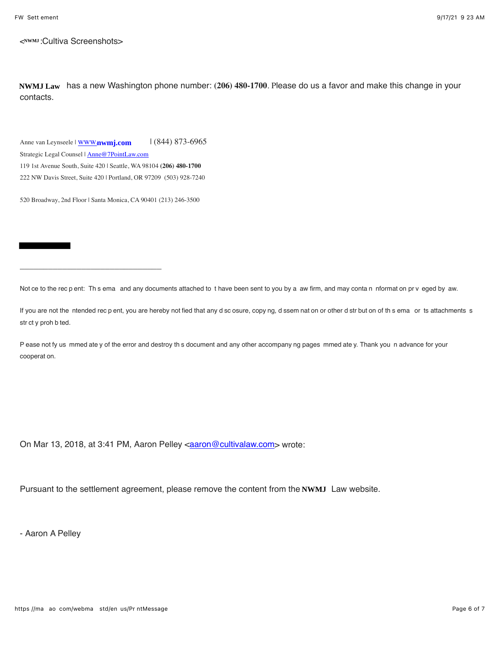< :Cultiva Screenshots> **NWMJ**

**NWMJ Law** has a new Washington phone number: (206) 480-1700. Please do us a favor and make this change in your contacts.

Anne van Leynseele | <mark>WWW.**nwmj.com** | (844) 873-6965</mark> Strategic Legal Counsel | Anne@7PointLaw.com

119 1st Avenue South, Suite 420 | Seattle, WA 98104 **(206) 480-1700**

222 NW Davis Street, Suite 420 | Portland, OR 97209 (503) 928-7240

520 Broadway, 2nd Floor | Santa Monica, CA 90401 (213) 246-3500

\_\_\_\_\_\_\_\_\_\_\_\_\_\_\_\_\_\_\_\_\_\_\_\_\_\_\_\_\_\_

Not ce to the rec p ent: Th s ema and any documents attached to t have been sent to you by a aw firm, and may conta n nformat on pr y eged by aw.

If you are not the ntended rec p ent, you are hereby not fied that any d sc osure, copy ng, d ssem nat on or other d str but on of th s ema or ts attachments s str ct y proh b ted.

P ease not fy us mmed ate y of the error and destroy th s document and any other accompany ng pages mmed ate y. Thank you n advance for your cooperat on.

On Mar 13, 2018, at 3:41 PM, Aaron Pelley <**aaron@cultivalaw.com>** wrote:

Pursuant to the settlement agreement, please remove the content from the NWMJ Law website.

- Aaron A Pelley